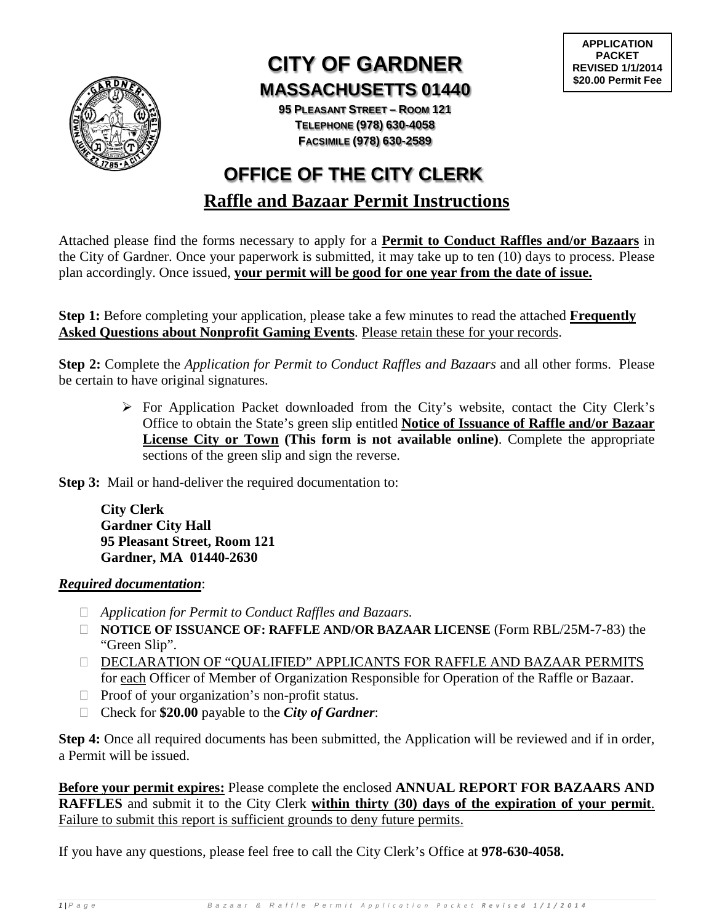

# **CITY OF GARDNER MASSACHUSETTS 01440**

**95 PLEASANT STREET – ROOM 121 TELEPHONE (978) 630-4058 FACSIMILE (978) 630-2589**

# **Raffle and Bazaar Permit Instructions OFFICE OF THE CITY CLERK**

Attached please find the forms necessary to apply for a **Permit to Conduct Raffles and/or Bazaars** in the City of Gardner. Once your paperwork is submitted, it may take up to ten (10) days to process. Please plan accordingly. Once issued, **your permit will be good for one year from the date of issue.**

**Step 1:** Before completing your application, please take a few minutes to read the attached **Frequently Asked Questions about Nonprofit Gaming Events**. Please retain these for your records.

**Step 2:** Complete the *Application for Permit to Conduct Raffles and Bazaars* and all other forms. Please be certain to have original signatures.

> For Application Packet downloaded from the City's website, contact the City Clerk's Office to obtain the State's green slip entitled **Notice of Issuance of Raffle and/or Bazaar License City or Town (This form is not available online)**. Complete the appropriate sections of the green slip and sign the reverse.

**Step 3:** Mail or hand-deliver the required documentation to:

**City Clerk Gardner City Hall 95 Pleasant Street, Room 121 Gardner, MA 01440-2630**

#### *Required documentation*:

- *Application for Permit to Conduct Raffles and Bazaars.*
- **NOTICE OF ISSUANCE OF: RAFFLE AND/OR BAZAAR LICENSE** (Form RBL/25M-7-83) the "Green Slip".
- DECLARATION OF "QUALIFIED" APPLICANTS FOR RAFFLE AND BAZAAR PERMITS for each Officer of Member of Organization Responsible for Operation of the Raffle or Bazaar.
- $\Box$  Proof of your organization's non-profit status.
- Check for **\$20.00** payable to the *City of Gardner*:

**Step 4:** Once all required documents has been submitted, the Application will be reviewed and if in order, a Permit will be issued.

**Before your permit expires:** Please complete the enclosed **ANNUAL REPORT FOR BAZAARS AND RAFFLES** and submit it to the City Clerk **within thirty (30) days of the expiration of your permit**. Failure to submit this report is sufficient grounds to deny future permits.

If you have any questions, please feel free to call the City Clerk's Office at **978-630-4058.**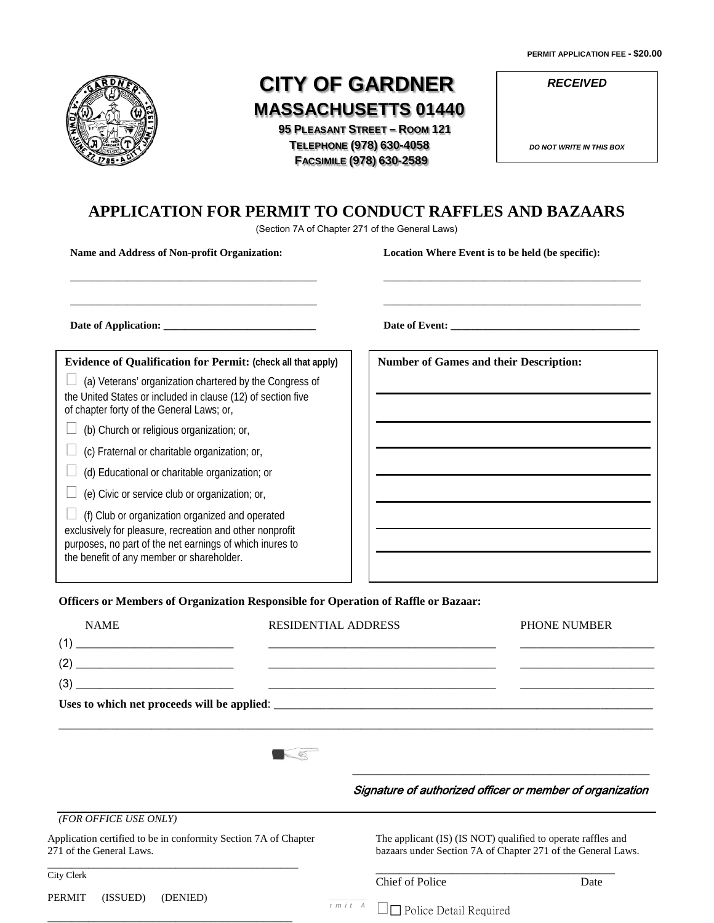**PERMIT APPLICATION FEE - \$20.00**



# **CITY OF GARDNER MASSACHUSETTS 01440**

 **95 PLEASANT STREET – ROOM 121 TELEPHONE (978) 630-4058 FACSIMILE (978) 630-2589**

*RECEIVED*

*DO NOT WRITE IN THIS BOX*

# **APPLICATION FOR PERMIT TO CONDUCT RAFFLES AND BAZAARS**

(Section 7A of Chapter 271 of the General Laws)

**Name and Address of Non-profit Organization:**

\_\_\_\_\_\_\_\_\_\_\_\_\_\_\_\_\_\_\_\_\_\_\_\_\_\_\_\_\_\_\_\_\_\_\_\_\_\_\_\_\_\_\_\_\_\_\_

\_\_\_\_\_\_\_\_\_\_\_\_\_\_\_\_\_\_\_\_\_\_\_\_\_\_\_\_\_\_\_\_\_\_\_\_\_\_\_\_\_\_\_\_\_\_\_

**Location Where Event is to be held (be specific):**

\_\_\_\_\_\_\_\_\_\_\_\_\_\_\_\_\_\_\_\_\_\_\_\_\_\_\_\_\_\_\_\_\_\_\_\_\_\_\_\_\_\_\_\_\_\_\_\_\_

\_\_\_\_\_\_\_\_\_\_\_\_\_\_\_\_\_\_\_\_\_\_\_\_\_\_\_\_\_\_\_\_\_\_\_\_\_\_\_\_\_\_\_\_\_\_\_\_\_

**Date of Application: \_\_\_\_\_\_\_\_\_\_\_\_\_\_\_\_\_\_\_\_\_\_\_\_\_\_\_\_\_**

**Date of Event: \_\_\_\_\_\_\_\_\_\_\_\_\_\_\_\_\_\_\_\_\_\_\_\_\_\_\_\_\_\_\_\_\_\_\_\_**

#### **Evidence of Qualification for Permit: (check all that apply)**

 $\Box$  (a) Veterans' organization chartered by the Congress of the United States or included in clause (12) of section five of chapter forty of the General Laws; or,

 $\Box$  (b) Church or religious organization; or,

 $\Box$  (c) Fraternal or charitable organization; or,

 $\Box$  (d) Educational or charitable organization; or

 $\Box$  (e) Civic or service club or organization; or,

\_\_\_\_\_\_\_\_\_\_\_\_\_\_\_\_\_\_\_\_\_\_\_\_\_\_\_\_\_\_\_\_\_\_\_\_\_\_\_\_\_\_

 $\Box$  (f) Club or organization organized and operated exclusively for pleasure, recreation and other nonprofit purposes, no part of the net earnings of which inures to the benefit of any member or shareholder.

**Number of Games and their Description:**

**Officers or Members of Organization Responsible for Operation of Raffle or Bazaar:**

| <b>NAME</b>                                                                                                                    | RESIDENTIAL ADDRESS                                  | <b>PHONE NUMBER</b>                                                                                                          |
|--------------------------------------------------------------------------------------------------------------------------------|------------------------------------------------------|------------------------------------------------------------------------------------------------------------------------------|
| (1)<br><u> 1980 - Andrea Brand, amerikansk politik (</u>                                                                       |                                                      |                                                                                                                              |
| (2)<br><u> 1989 - Johann Stein, marwolaethau a bhann an t-Amhain Aonaichte an t-Amhain Aonaichte an t-Amhain Aonaichte an </u> |                                                      |                                                                                                                              |
| (3)                                                                                                                            |                                                      |                                                                                                                              |
|                                                                                                                                |                                                      |                                                                                                                              |
|                                                                                                                                |                                                      |                                                                                                                              |
|                                                                                                                                |                                                      | Signature of authorized officer or member of organization                                                                    |
| (FOR OFFICE USE ONLY)                                                                                                          |                                                      |                                                                                                                              |
| Application certified to be in conformity Section 7A of Chapter<br>271 of the General Laws.                                    |                                                      | The applicant (IS) (IS NOT) qualified to operate raffles and<br>bazaars under Section 7A of Chapter 271 of the General Laws. |
| City Clerk                                                                                                                     | Chief of Police                                      | Date                                                                                                                         |
| PERMIT<br>(ISSUED)<br>(DENIED)                                                                                                 | $r$ $m$ $i$ $t$ $A$<br>$\Box$ Police Detail Required |                                                                                                                              |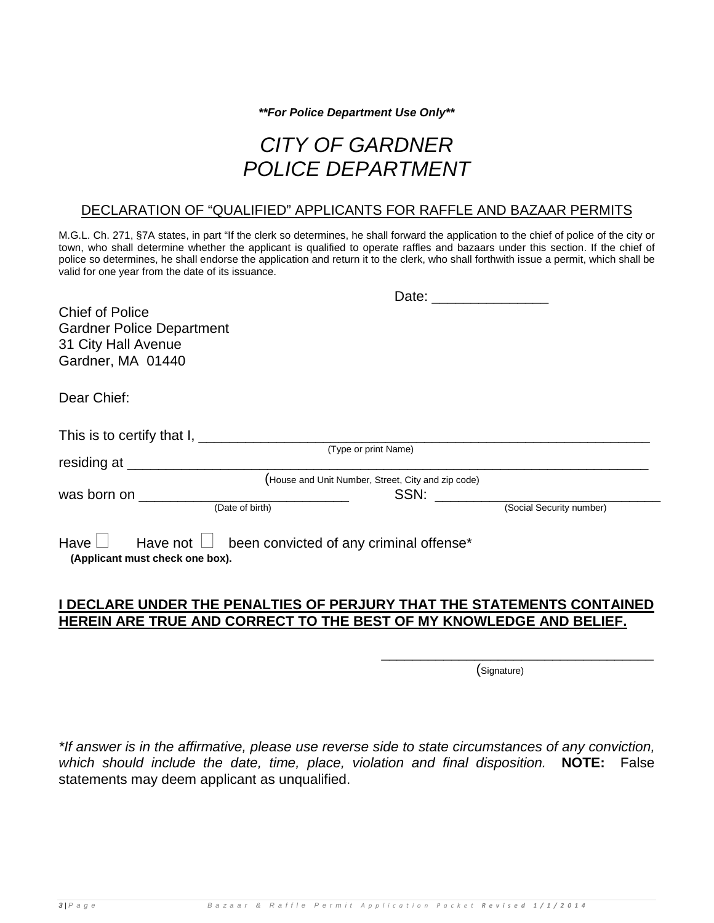*\*\*For Police Department Use Only\*\**

# *CITY OF GARDNER POLICE DEPARTMENT*

#### DECLARATION OF "QUALIFIED" APPLICANTS FOR RAFFLE AND BAZAAR PERMITS

M.G.L. Ch. 271, §7A states, in part "If the clerk so determines, he shall forward the application to the chief of police of the city or town, who shall determine whether the applicant is qualified to operate raffles and bazaars under this section. If the chief of police so determines, he shall endorse the application and return it to the clerk, who shall forthwith issue a permit, which shall be valid for one year from the date of its issuance.

| <b>Chief of Police</b><br><b>Gardner Police Department</b><br>31 City Hall Avenue<br>Gardner, MA 01440                                                                                                                        |                                                                     |                                                    |                          |  |
|-------------------------------------------------------------------------------------------------------------------------------------------------------------------------------------------------------------------------------|---------------------------------------------------------------------|----------------------------------------------------|--------------------------|--|
| Dear Chief:                                                                                                                                                                                                                   |                                                                     |                                                    |                          |  |
|                                                                                                                                                                                                                               |                                                                     |                                                    |                          |  |
| residing at the contract of the contract of the contract of the contract of the contract of the contract of the                                                                                                               |                                                                     | (Type or print Name)                               |                          |  |
|                                                                                                                                                                                                                               |                                                                     | (House and Unit Number, Street, City and zip code) |                          |  |
| was born on the control of the control of the control of the control of the control of the control of the control of the control of the control of the control of the control of the control of the control of the control of |                                                                     | SSN:                                               |                          |  |
|                                                                                                                                                                                                                               | (Date of birth)                                                     |                                                    | (Social Security number) |  |
| Have $\Box$<br>(Applicant must check one box).                                                                                                                                                                                | Have not $\Box$ been convicted of any criminal offense <sup>*</sup> |                                                    |                          |  |

## **I DECLARE UNDER THE PENALTIES OF PERJURY THAT THE STATEMENTS CONTAINED HEREIN ARE TRUE AND CORRECT TO THE BEST OF MY KNOWLEDGE AND BELIEF.**

 $\overline{\phantom{a}}$  , and the contract of the contract of the contract of the contract of the contract of the contract of the contract of the contract of the contract of the contract of the contract of the contract of the contrac

(Signature)

*\*If answer is in the affirmative, please use reverse side to state circumstances of any conviction, which should include the date, time, place, violation and final disposition.* **NOTE:** False statements may deem applicant as unqualified.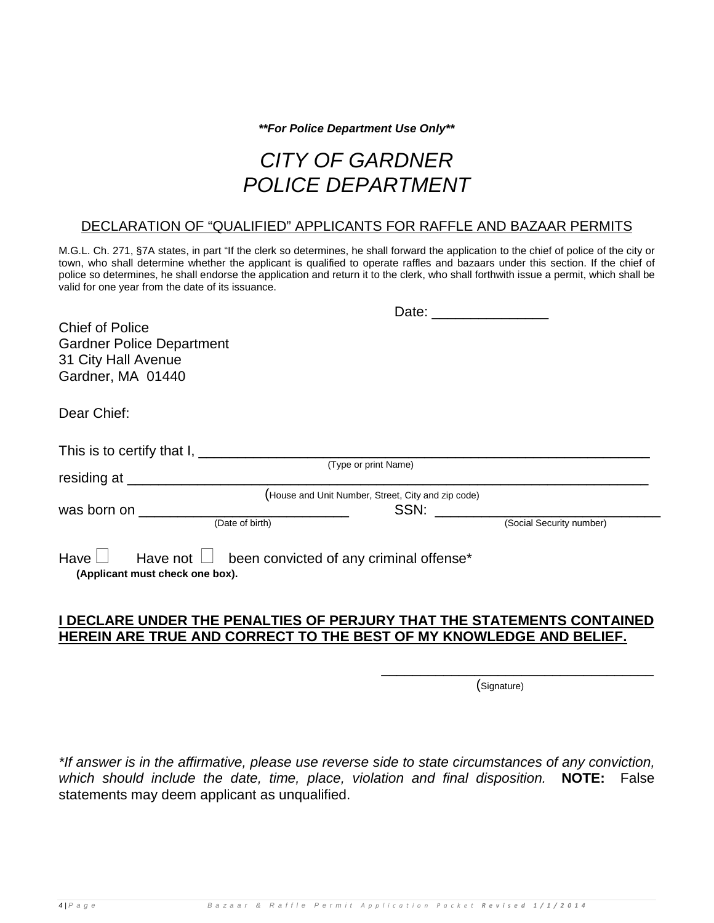*\*\*For Police Department Use Only\*\**

# *CITY OF GARDNER POLICE DEPARTMENT*

#### DECLARATION OF "QUALIFIED" APPLICANTS FOR RAFFLE AND BAZAAR PERMITS

M.G.L. Ch. 271, §7A states, in part "If the clerk so determines, he shall forward the application to the chief of police of the city or town, who shall determine whether the applicant is qualified to operate raffles and bazaars under this section. If the chief of police so determines, he shall endorse the application and return it to the clerk, who shall forthwith issue a permit, which shall be valid for one year from the date of its issuance.

|                                                                                                                                                                                                                               | Date: the contract of the contract of the contract of the contract of the contract of the contract of the contract of the contract of the contract of the contract of the contract of the contract of the contract of the cont |
|-------------------------------------------------------------------------------------------------------------------------------------------------------------------------------------------------------------------------------|--------------------------------------------------------------------------------------------------------------------------------------------------------------------------------------------------------------------------------|
| <b>Chief of Police</b>                                                                                                                                                                                                        |                                                                                                                                                                                                                                |
| <b>Gardner Police Department</b>                                                                                                                                                                                              |                                                                                                                                                                                                                                |
| 31 City Hall Avenue                                                                                                                                                                                                           |                                                                                                                                                                                                                                |
| Gardner, MA 01440                                                                                                                                                                                                             |                                                                                                                                                                                                                                |
|                                                                                                                                                                                                                               |                                                                                                                                                                                                                                |
| Dear Chief:                                                                                                                                                                                                                   |                                                                                                                                                                                                                                |
|                                                                                                                                                                                                                               |                                                                                                                                                                                                                                |
|                                                                                                                                                                                                                               |                                                                                                                                                                                                                                |
|                                                                                                                                                                                                                               | (Type or print Name)                                                                                                                                                                                                           |
| residing at <u>example and the set of the set of the set of the set of the set of the set of the set of the set o</u>                                                                                                         |                                                                                                                                                                                                                                |
|                                                                                                                                                                                                                               | (House and Unit Number, Street, City and zip code)                                                                                                                                                                             |
| was born on the control of the control of the control of the control of the control of the control of the control of the control of the control of the control of the control of the control of the control of the control of | SSN:                                                                                                                                                                                                                           |
| (Date of birth)                                                                                                                                                                                                               | (Social Security number)                                                                                                                                                                                                       |
|                                                                                                                                                                                                                               |                                                                                                                                                                                                                                |
| Have $\Box$ Have not $\Box$ been convicted of any criminal offense*                                                                                                                                                           |                                                                                                                                                                                                                                |
| (Applicant must check one box).                                                                                                                                                                                               |                                                                                                                                                                                                                                |
|                                                                                                                                                                                                                               |                                                                                                                                                                                                                                |

### **I DECLARE UNDER THE PENALTIES OF PERJURY THAT THE STATEMENTS CONTAINED HEREIN ARE TRUE AND CORRECT TO THE BEST OF MY KNOWLEDGE AND BELIEF.**

 $\overline{\phantom{a}}$  , and the contract of the contract of the contract of the contract of the contract of the contract of the contract of the contract of the contract of the contract of the contract of the contract of the contrac

(Signature)

*\*If answer is in the affirmative, please use reverse side to state circumstances of any conviction, which should include the date, time, place, violation and final disposition.* **NOTE:** False statements may deem applicant as unqualified.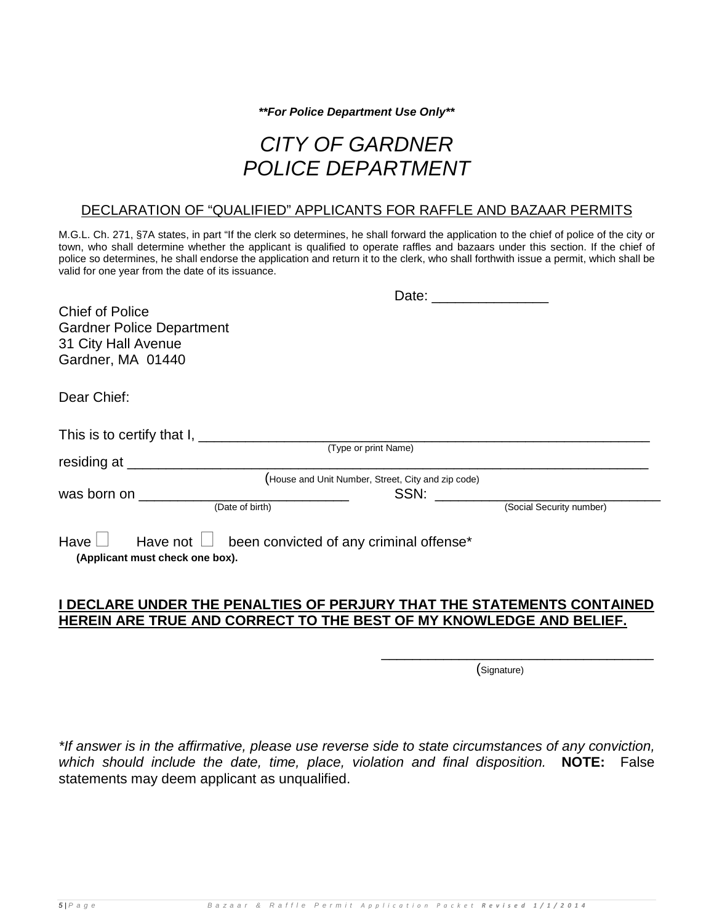*\*\*For Police Department Use Only\*\**

# *CITY OF GARDNER POLICE DEPARTMENT*

#### DECLARATION OF "QUALIFIED" APPLICANTS FOR RAFFLE AND BAZAAR PERMITS

M.G.L. Ch. 271, §7A states, in part "If the clerk so determines, he shall forward the application to the chief of police of the city or town, who shall determine whether the applicant is qualified to operate raffles and bazaars under this section. If the chief of police so determines, he shall endorse the application and return it to the clerk, who shall forthwith issue a permit, which shall be valid for one year from the date of its issuance.

| <b>Chief of Police</b><br><b>Gardner Police Department</b><br>31 City Hall Avenue<br>Gardner, MA 01440 |                                                    |      |                          |  |
|--------------------------------------------------------------------------------------------------------|----------------------------------------------------|------|--------------------------|--|
| Dear Chief:                                                                                            |                                                    |      |                          |  |
|                                                                                                        |                                                    |      |                          |  |
|                                                                                                        | (Type or print Name)                               |      |                          |  |
|                                                                                                        | (House and Unit Number, Street, City and zip code) |      |                          |  |
| was born on __________________<br>(Date of birth)                                                      |                                                    | SSN: | (Social Security number) |  |
| Have $\Box$ Have not $\Box$ been convicted of any criminal offense*<br>(Applicant must check one box). |                                                    |      |                          |  |

# **I DECLARE UNDER THE PENALTIES OF PERJURY THAT THE STATEMENTS CONTAINED HEREIN ARE TRUE AND CORRECT TO THE BEST OF MY KNOWLEDGE AND BELIEF.**

 $\overline{\phantom{a}}$  , and the contract of the contract of the contract of the contract of the contract of the contract of the contract of the contract of the contract of the contract of the contract of the contract of the contrac

(Signature)

*\*If answer is in the affirmative, please use reverse side to state circumstances of any conviction, which should include the date, time, place, violation and final disposition.* **NOTE:** False statements may deem applicant as unqualified.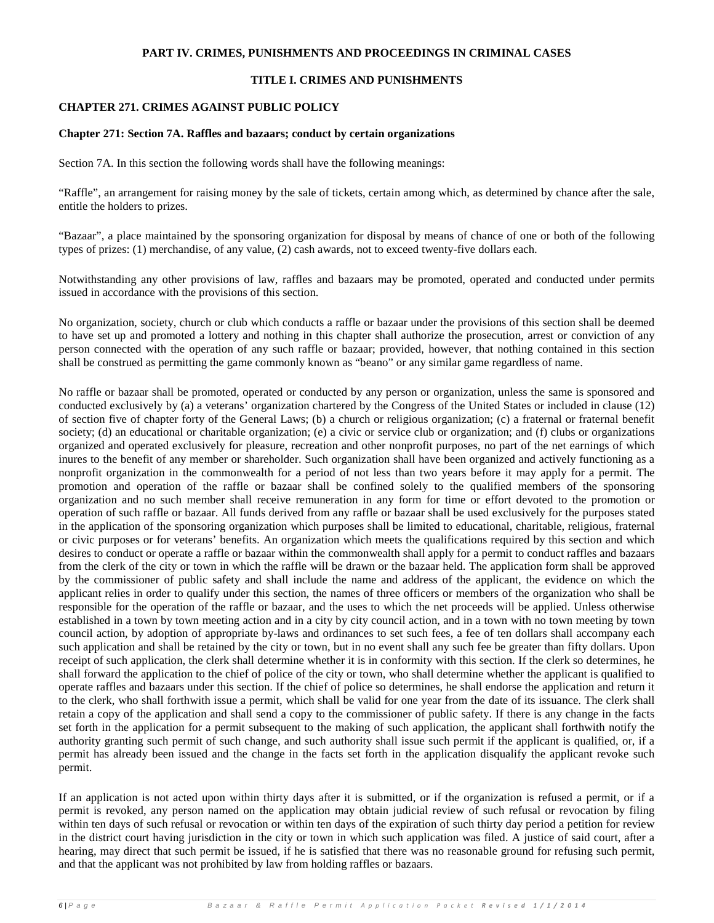#### **PART IV. CRIMES, PUNISHMENTS AND PROCEEDINGS IN CRIMINAL CASES**

#### **TITLE I. CRIMES AND PUNISHMENTS**

#### **CHAPTER 271. CRIMES AGAINST PUBLIC POLICY**

#### **Chapter 271: Section 7A. Raffles and bazaars; conduct by certain organizations**

Section 7A. In this section the following words shall have the following meanings:

"Raffle", an arrangement for raising money by the sale of tickets, certain among which, as determined by chance after the sale, entitle the holders to prizes.

"Bazaar", a place maintained by the sponsoring organization for disposal by means of chance of one or both of the following types of prizes: (1) merchandise, of any value, (2) cash awards, not to exceed twenty-five dollars each.

Notwithstanding any other provisions of law, raffles and bazaars may be promoted, operated and conducted under permits issued in accordance with the provisions of this section.

No organization, society, church or club which conducts a raffle or bazaar under the provisions of this section shall be deemed to have set up and promoted a lottery and nothing in this chapter shall authorize the prosecution, arrest or conviction of any person connected with the operation of any such raffle or bazaar; provided, however, that nothing contained in this section shall be construed as permitting the game commonly known as "beano" or any similar game regardless of name.

No raffle or bazaar shall be promoted, operated or conducted by any person or organization, unless the same is sponsored and conducted exclusively by (a) a veterans' organization chartered by the Congress of the United States or included in clause (12) of section five of chapter forty of the General Laws; (b) a church or religious organization; (c) a fraternal or fraternal benefit society; (d) an educational or charitable organization; (e) a civic or service club or organization; and (f) clubs or organizations organized and operated exclusively for pleasure, recreation and other nonprofit purposes, no part of the net earnings of which inures to the benefit of any member or shareholder. Such organization shall have been organized and actively functioning as a nonprofit organization in the commonwealth for a period of not less than two years before it may apply for a permit. The promotion and operation of the raffle or bazaar shall be confined solely to the qualified members of the sponsoring organization and no such member shall receive remuneration in any form for time or effort devoted to the promotion or operation of such raffle or bazaar. All funds derived from any raffle or bazaar shall be used exclusively for the purposes stated in the application of the sponsoring organization which purposes shall be limited to educational, charitable, religious, fraternal or civic purposes or for veterans' benefits. An organization which meets the qualifications required by this section and which desires to conduct or operate a raffle or bazaar within the commonwealth shall apply for a permit to conduct raffles and bazaars from the clerk of the city or town in which the raffle will be drawn or the bazaar held. The application form shall be approved by the commissioner of public safety and shall include the name and address of the applicant, the evidence on which the applicant relies in order to qualify under this section, the names of three officers or members of the organization who shall be responsible for the operation of the raffle or bazaar, and the uses to which the net proceeds will be applied. Unless otherwise established in a town by town meeting action and in a city by city council action, and in a town with no town meeting by town council action, by adoption of appropriate by-laws and ordinances to set such fees, a fee of ten dollars shall accompany each such application and shall be retained by the city or town, but in no event shall any such fee be greater than fifty dollars. Upon receipt of such application, the clerk shall determine whether it is in conformity with this section. If the clerk so determines, he shall forward the application to the chief of police of the city or town, who shall determine whether the applicant is qualified to operate raffles and bazaars under this section. If the chief of police so determines, he shall endorse the application and return it to the clerk, who shall forthwith issue a permit, which shall be valid for one year from the date of its issuance. The clerk shall retain a copy of the application and shall send a copy to the commissioner of public safety. If there is any change in the facts set forth in the application for a permit subsequent to the making of such application, the applicant shall forthwith notify the authority granting such permit of such change, and such authority shall issue such permit if the applicant is qualified, or, if a permit has already been issued and the change in the facts set forth in the application disqualify the applicant revoke such permit.

If an application is not acted upon within thirty days after it is submitted, or if the organization is refused a permit, or if a permit is revoked, any person named on the application may obtain judicial review of such refusal or revocation by filing within ten days of such refusal or revocation or within ten days of the expiration of such thirty day period a petition for review in the district court having jurisdiction in the city or town in which such application was filed. A justice of said court, after a hearing, may direct that such permit be issued, if he is satisfied that there was no reasonable ground for refusing such permit, and that the applicant was not prohibited by law from holding raffles or bazaars.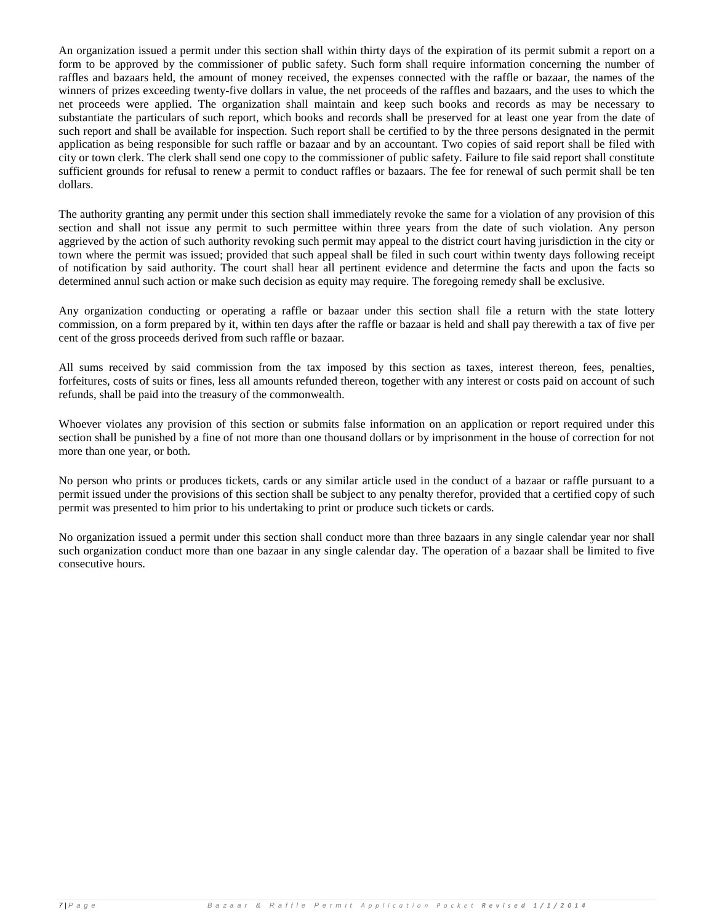An organization issued a permit under this section shall within thirty days of the expiration of its permit submit a report on a form to be approved by the commissioner of public safety. Such form shall require information concerning the number of raffles and bazaars held, the amount of money received, the expenses connected with the raffle or bazaar, the names of the winners of prizes exceeding twenty-five dollars in value, the net proceeds of the raffles and bazaars, and the uses to which the net proceeds were applied. The organization shall maintain and keep such books and records as may be necessary to substantiate the particulars of such report, which books and records shall be preserved for at least one year from the date of such report and shall be available for inspection. Such report shall be certified to by the three persons designated in the permit application as being responsible for such raffle or bazaar and by an accountant. Two copies of said report shall be filed with city or town clerk. The clerk shall send one copy to the commissioner of public safety. Failure to file said report shall constitute sufficient grounds for refusal to renew a permit to conduct raffles or bazaars. The fee for renewal of such permit shall be ten dollars.

The authority granting any permit under this section shall immediately revoke the same for a violation of any provision of this section and shall not issue any permit to such permittee within three years from the date of such violation. Any person aggrieved by the action of such authority revoking such permit may appeal to the district court having jurisdiction in the city or town where the permit was issued; provided that such appeal shall be filed in such court within twenty days following receipt of notification by said authority. The court shall hear all pertinent evidence and determine the facts and upon the facts so determined annul such action or make such decision as equity may require. The foregoing remedy shall be exclusive.

Any organization conducting or operating a raffle or bazaar under this section shall file a return with the state lottery commission, on a form prepared by it, within ten days after the raffle or bazaar is held and shall pay therewith a tax of five per cent of the gross proceeds derived from such raffle or bazaar.

All sums received by said commission from the tax imposed by this section as taxes, interest thereon, fees, penalties, forfeitures, costs of suits or fines, less all amounts refunded thereon, together with any interest or costs paid on account of such refunds, shall be paid into the treasury of the commonwealth.

Whoever violates any provision of this section or submits false information on an application or report required under this section shall be punished by a fine of not more than one thousand dollars or by imprisonment in the house of correction for not more than one year, or both.

No person who prints or produces tickets, cards or any similar article used in the conduct of a bazaar or raffle pursuant to a permit issued under the provisions of this section shall be subject to any penalty therefor, provided that a certified copy of such permit was presented to him prior to his undertaking to print or produce such tickets or cards.

No organization issued a permit under this section shall conduct more than three bazaars in any single calendar year nor shall such organization conduct more than one bazaar in any single calendar day. The operation of a bazaar shall be limited to five consecutive hours.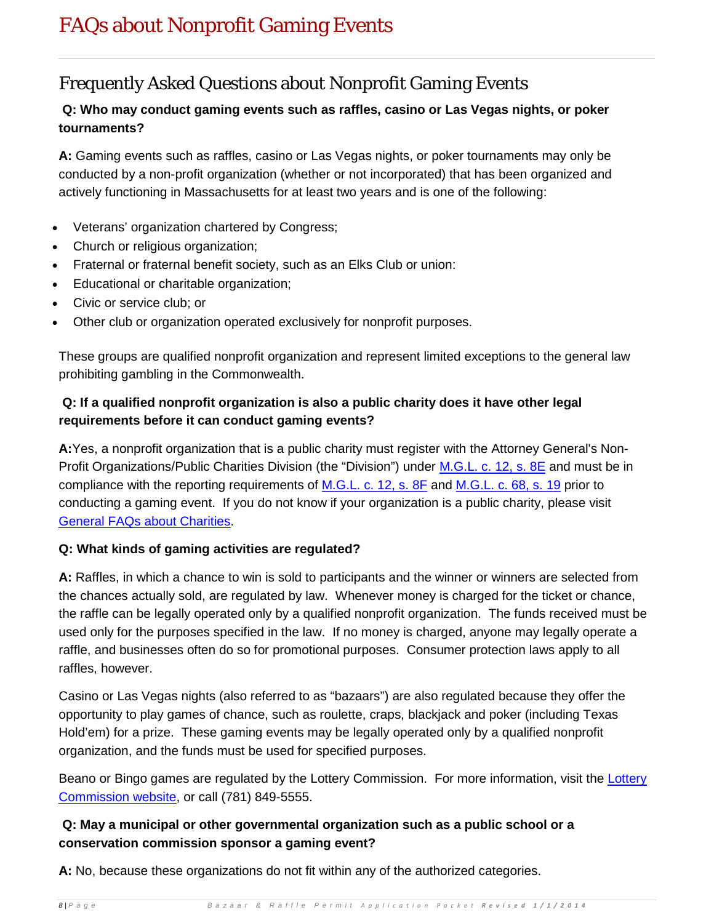# Frequently Asked Questions about Nonprofit Gaming Events

# **Q: Who may conduct gaming events such as raffles, casino or Las Vegas nights, or poker tournaments?**

**A:** Gaming events such as raffles, casino or Las Vegas nights, or poker tournaments may only be conducted by a non-profit organization (whether or not incorporated) that has been organized and actively functioning in Massachusetts for at least two years and is one of the following:

- Veterans' organization chartered by Congress;
- Church or religious organization;
- Fraternal or fraternal benefit society, such as an Elks Club or union:
- Educational or charitable organization;
- Civic or service club; or
- Other club or organization operated exclusively for nonprofit purposes.

These groups are qualified nonprofit organization and represent limited exceptions to the general law prohibiting gambling in the Commonwealth.

# **Q: If a qualified nonprofit organization is also a public charity does it have other legal requirements before it can conduct gaming events?**

**A:**Yes, a nonprofit organization that is a public charity must register with the Attorney General's Non-Profit Organizations/Public Charities Division (the "Division") under [M.G.L. c. 12, s. 8E](http://www.mass.gov/legis/laws/mgl/12-8e.htm) and must be in compliance with the reporting requirements of [M.G.L. c. 12, s. 8F](http://www.mass.gov/legis/laws/mgl/12-8f.htm) and [M.G.L. c. 68, s. 19](http://www.mass.gov/legis/laws/mgl/68-19.htm) prior to conducting a gaming event. If you do not know if your organization is a public charity, please visit [General FAQs about Charities.](http://www.mass.gov/?pageID=cagoterminal&L=3&L0=Home&L1=Non-Profits+%26+Charities&L2=AG)

# **Q: What kinds of gaming activities are regulated?**

**A:** Raffles, in which a chance to win is sold to participants and the winner or winners are selected from the chances actually sold, are regulated by law. Whenever money is charged for the ticket or chance, the raffle can be legally operated only by a qualified nonprofit organization. The funds received must be used only for the purposes specified in the law. If no money is charged, anyone may legally operate a raffle, and businesses often do so for promotional purposes. Consumer protection laws apply to all raffles, however.

Casino or Las Vegas nights (also referred to as "bazaars") are also regulated because they offer the opportunity to play games of chance, such as roulette, craps, blackjack and poker (including Texas Hold'em) for a prize. These gaming events may be legally operated only by a qualified nonprofit organization, and the funds must be used for specified purposes.

Beano or Bingo games are regulated by the [Lottery](http://www.masslottery.com/Bingo/Bingo.htm) Commission. For more information, visit the Lottery [Commission website,](http://www.masslottery.com/Bingo/Bingo.htm) or call (781) 849-5555.

# **Q: May a municipal or other governmental organization such as a public school or a conservation commission sponsor a gaming event?**

**A:** No, because these organizations do not fit within any of the authorized categories.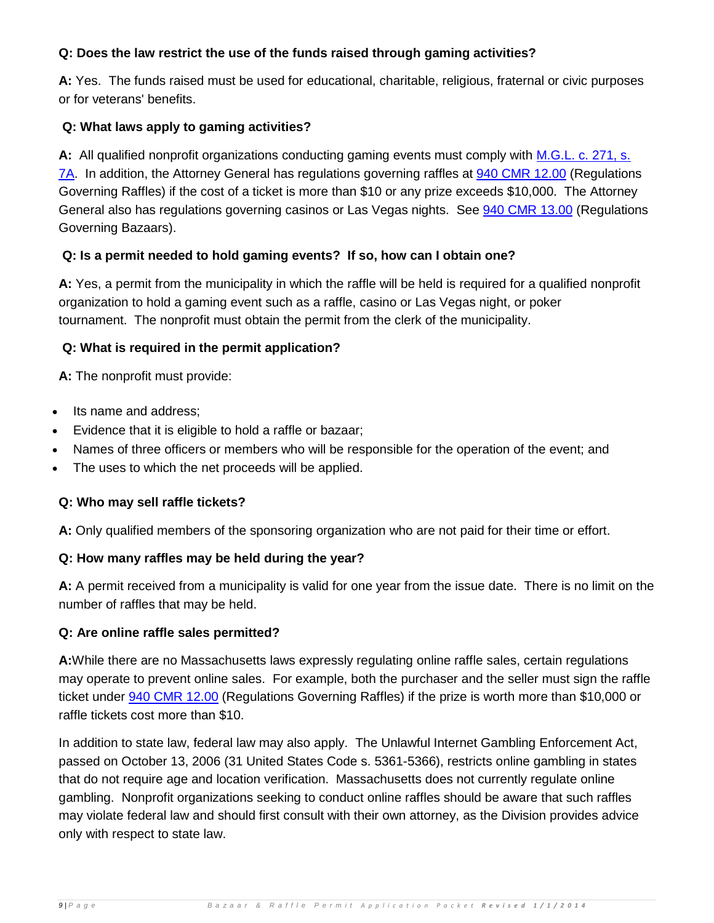# **Q: Does the law restrict the use of the funds raised through gaming activities?**

**A:** Yes. The funds raised must be used for educational, charitable, religious, fraternal or civic purposes or for veterans' benefits.

# **Q: What laws apply to gaming activities?**

**A:** All qualified nonprofit organizations conducting gaming events must comply with [M.G.L. c. 271, s.](http://www.mass.gov/legis/laws/mgl/271-7a.htm)  [7A.](http://www.mass.gov/legis/laws/mgl/271-7a.htm) In addition, the Attorney General has regulations governing raffles at [940 CMR 12.00](http://www.mass.gov/?pageID=cagoterminal&L=3&L0=Home&L1=Government&L2=AG) (Regulations Governing Raffles) if the cost of a ticket is more than \$10 or any prize exceeds \$10,000. The Attorney General also has regulations governing casinos or Las Vegas nights. See [940 CMR 13.00](http://www.mass.gov/?pageID=cagoterminal&L=3&L0=Home&L1=Government&L2=AG) (Regulations Governing Bazaars).

# **Q: Is a permit needed to hold gaming events? If so, how can I obtain one?**

**A:** Yes, a permit from the municipality in which the raffle will be held is required for a qualified nonprofit organization to hold a gaming event such as a raffle, casino or Las Vegas night, or poker tournament. The nonprofit must obtain the permit from the clerk of the municipality.

# **Q: What is required in the permit application?**

**A:** The nonprofit must provide:

- Its name and address;
- Evidence that it is eligible to hold a raffle or bazaar;
- Names of three officers or members who will be responsible for the operation of the event; and
- The uses to which the net proceeds will be applied.

# **Q: Who may sell raffle tickets?**

**A:** Only qualified members of the sponsoring organization who are not paid for their time or effort.

# **Q: How many raffles may be held during the year?**

**A:** A permit received from a municipality is valid for one year from the issue date. There is no limit on the number of raffles that may be held.

# **Q: Are online raffle sales permitted?**

**A:**While there are no Massachusetts laws expressly regulating online raffle sales, certain regulations may operate to prevent online sales. For example, both the purchaser and the seller must sign the raffle ticket under [940 CMR 12.00](http://www.mass.gov/?pageID=cagoterminal&L=3&L0=Home&L1=Government&L2=AG) (Regulations Governing Raffles) if the prize is worth more than \$10,000 or raffle tickets cost more than \$10.

In addition to state law, federal law may also apply. The Unlawful Internet Gambling Enforcement Act, passed on October 13, 2006 (31 United States Code s. 5361-5366), restricts online gambling in states that do not require age and location verification. Massachusetts does not currently regulate online gambling. Nonprofit organizations seeking to conduct online raffles should be aware that such raffles may violate federal law and should first consult with their own attorney, as the Division provides advice only with respect to state law.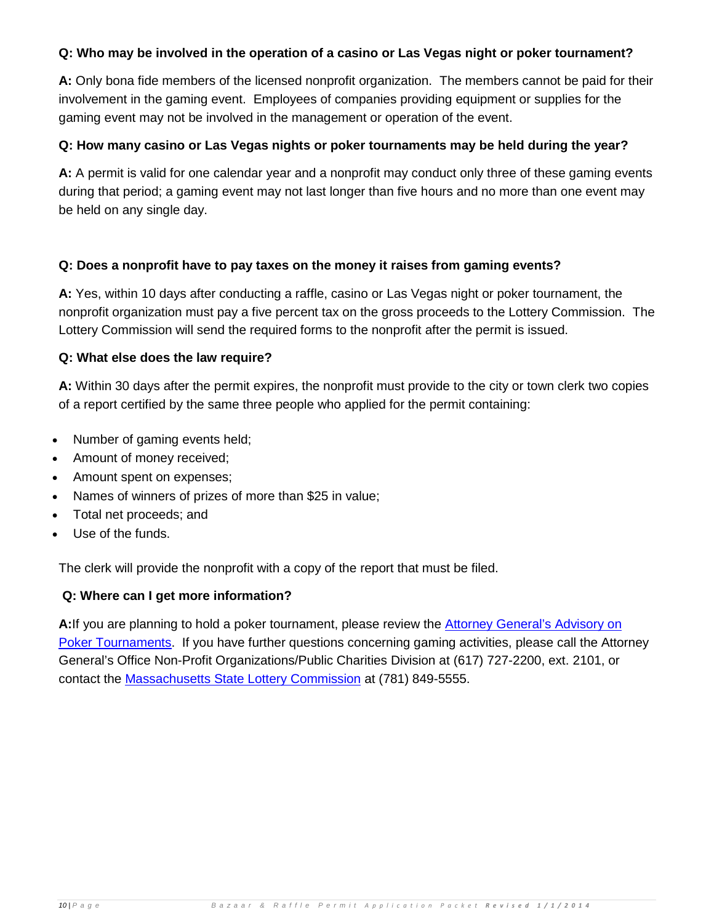## **Q: Who may be involved in the operation of a casino or Las Vegas night or poker tournament?**

**A:** Only bona fide members of the licensed nonprofit organization. The members cannot be paid for their involvement in the gaming event. Employees of companies providing equipment or supplies for the gaming event may not be involved in the management or operation of the event.

### **Q: How many casino or Las Vegas nights or poker tournaments may be held during the year?**

**A:** A permit is valid for one calendar year and a nonprofit may conduct only three of these gaming events during that period; a gaming event may not last longer than five hours and no more than one event may be held on any single day.

### **Q: Does a nonprofit have to pay taxes on the money it raises from gaming events?**

**A:** Yes, within 10 days after conducting a raffle, casino or Las Vegas night or poker tournament, the nonprofit organization must pay a five percent tax on the gross proceeds to the Lottery Commission. The Lottery Commission will send the required forms to the nonprofit after the permit is issued.

### **Q: What else does the law require?**

**A:** Within 30 days after the permit expires, the nonprofit must provide to the city or town clerk two copies of a report certified by the same three people who applied for the permit containing:

- Number of gaming events held;
- Amount of money received;
- Amount spent on expenses;
- Names of winners of prizes of more than \$25 in value;
- Total net proceeds; and
- Use of the funds.

The clerk will provide the nonprofit with a copy of the report that must be filed.

# **Q: Where can I get more information?**

**A:**If you are planning to hold a poker tournament, please review the [Attorney General's Advisory on](http://www.mass.gov/?pageID=cagoterminal&L=4&L0=Home&L1=Non-Profits+%26+Charities&L2=Charitable+Organizations&L3=Raffles+and+Other+Gaming+Activity&sid=Cago&b=terminalcontent&f=nonprofit_pokeroverview&csid=Cago)  [Poker Tournaments.](http://www.mass.gov/?pageID=cagoterminal&L=4&L0=Home&L1=Non-Profits+%26+Charities&L2=Charitable+Organizations&L3=Raffles+and+Other+Gaming+Activity&sid=Cago&b=terminalcontent&f=nonprofit_pokeroverview&csid=Cago) If you have further questions concerning gaming activities, please call the Attorney General's Office Non-Profit Organizations/Public Charities Division at (617) 727-2200, ext. 2101, or contact the [Massachusetts State Lottery Commission](http://www.masslottery.com/) at (781) 849-5555.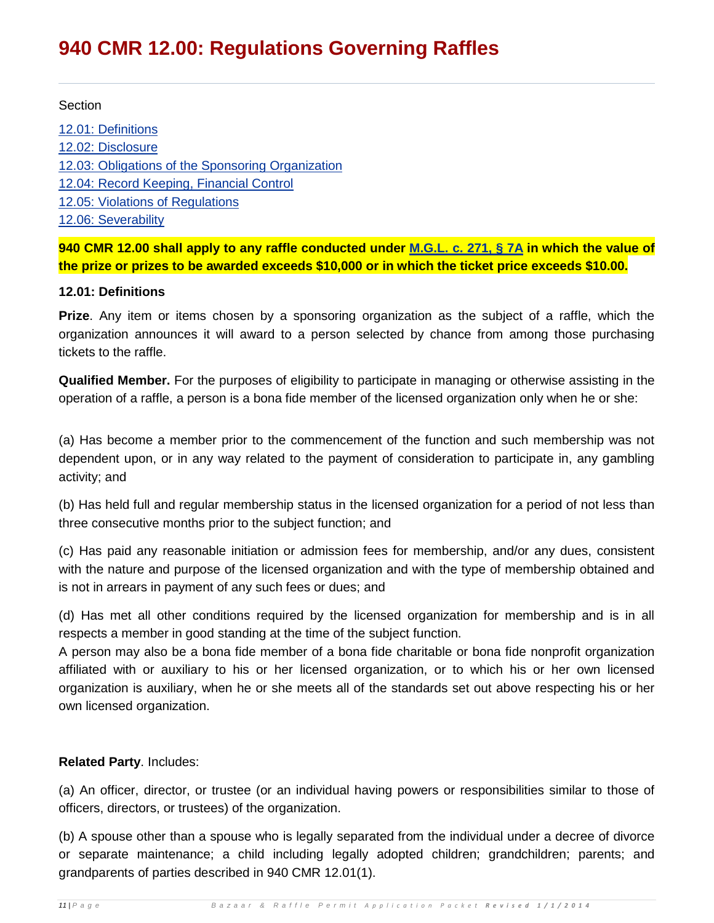# **940 CMR 12.00: Regulations Governing Raffles**

#### **Section**

[12.01: Definitions](http://www.mass.gov/?pageID=cagoterminal&L=3&L0=Home&L1=Government&L2=AG) [12.02: Disclosure](http://www.mass.gov/?pageID=cagoterminal&L=3&L0=Home&L1=Government&L2=AG) [12.03: Obligations of the Sponsoring Organization](http://www.mass.gov/?pageID=cagoterminal&L=3&L0=Home&L1=Government&L2=AG) [12.04: Record Keeping, Financial Control](http://www.mass.gov/?pageID=cagoterminal&L=3&L0=Home&L1=Government&L2=AG) [12.05: Violations of Regulations](http://www.mass.gov/?pageID=cagoterminal&L=3&L0=Home&L1=Government&L2=AG) [12.06: Severability](http://www.mass.gov/?pageID=cagoterminal&L=3&L0=Home&L1=Government&L2=AG)

**940 CMR 12.00 shall apply to any raffle conducted under [M.G.L. c. 271, § 7A](http://www.mass.gov/legis/laws/mgl/271-7a.htm) in which the value of the prize or prizes to be awarded exceeds \$10,000 or in which the ticket price exceeds \$10.00.**

#### **12.01: Definitions**

**Prize**. Any item or items chosen by a sponsoring organization as the subject of a raffle, which the organization announces it will award to a person selected by chance from among those purchasing tickets to the raffle.

**Qualified Member.** For the purposes of eligibility to participate in managing or otherwise assisting in the operation of a raffle, a person is a bona fide member of the licensed organization only when he or she:

(a) Has become a member prior to the commencement of the function and such membership was not dependent upon, or in any way related to the payment of consideration to participate in, any gambling activity; and

(b) Has held full and regular membership status in the licensed organization for a period of not less than three consecutive months prior to the subject function; and

(c) Has paid any reasonable initiation or admission fees for membership, and/or any dues, consistent with the nature and purpose of the licensed organization and with the type of membership obtained and is not in arrears in payment of any such fees or dues; and

(d) Has met all other conditions required by the licensed organization for membership and is in all respects a member in good standing at the time of the subject function.

A person may also be a bona fide member of a bona fide charitable or bona fide nonprofit organization affiliated with or auxiliary to his or her licensed organization, or to which his or her own licensed organization is auxiliary, when he or she meets all of the standards set out above respecting his or her own licensed organization.

#### **Related Party**. Includes:

(a) An officer, director, or trustee (or an individual having powers or responsibilities similar to those of officers, directors, or trustees) of the organization.

(b) A spouse other than a spouse who is legally separated from the individual under a decree of divorce or separate maintenance; a child including legally adopted children; grandchildren; parents; and grandparents of parties described in 940 CMR 12.01(1).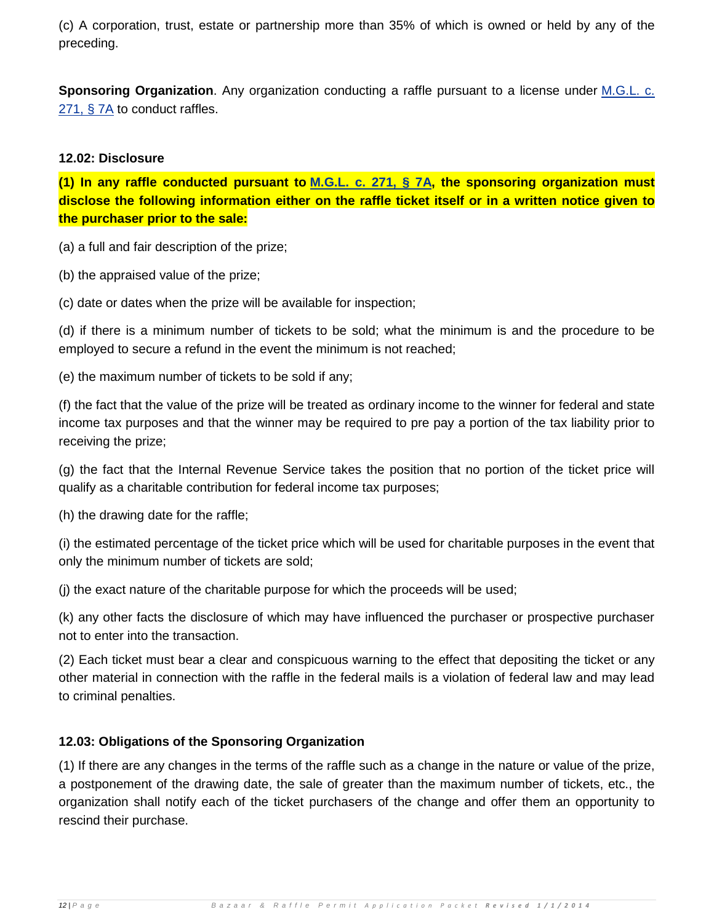(c) A corporation, trust, estate or partnership more than 35% of which is owned or held by any of the preceding.

**Sponsoring Organization**. Any organization conducting a raffle pursuant to a license under [M.G.L. c.](http://www.mass.gov/legis/laws/mgl/271-7a.htm)  [271, § 7A](http://www.mass.gov/legis/laws/mgl/271-7a.htm) to conduct raffles.

#### **12.02: Disclosure**

**(1) In any raffle conducted pursuant to [M.G.L. c. 271, § 7A,](http://www.mass.gov/legis/laws/mgl/271-7a.htm) the sponsoring organization must disclose the following information either on the raffle ticket itself or in a written notice given to the purchaser prior to the sale:**

(a) a full and fair description of the prize;

(b) the appraised value of the prize;

(c) date or dates when the prize will be available for inspection;

(d) if there is a minimum number of tickets to be sold; what the minimum is and the procedure to be employed to secure a refund in the event the minimum is not reached;

(e) the maximum number of tickets to be sold if any;

(f) the fact that the value of the prize will be treated as ordinary income to the winner for federal and state income tax purposes and that the winner may be required to pre pay a portion of the tax liability prior to receiving the prize;

(g) the fact that the Internal Revenue Service takes the position that no portion of the ticket price will qualify as a charitable contribution for federal income tax purposes;

(h) the drawing date for the raffle;

(i) the estimated percentage of the ticket price which will be used for charitable purposes in the event that only the minimum number of tickets are sold;

(j) the exact nature of the charitable purpose for which the proceeds will be used;

(k) any other facts the disclosure of which may have influenced the purchaser or prospective purchaser not to enter into the transaction.

(2) Each ticket must bear a clear and conspicuous warning to the effect that depositing the ticket or any other material in connection with the raffle in the federal mails is a violation of federal law and may lead to criminal penalties.

#### **12.03: Obligations of the Sponsoring Organization**

(1) If there are any changes in the terms of the raffle such as a change in the nature or value of the prize, a postponement of the drawing date, the sale of greater than the maximum number of tickets, etc., the organization shall notify each of the ticket purchasers of the change and offer them an opportunity to rescind their purchase.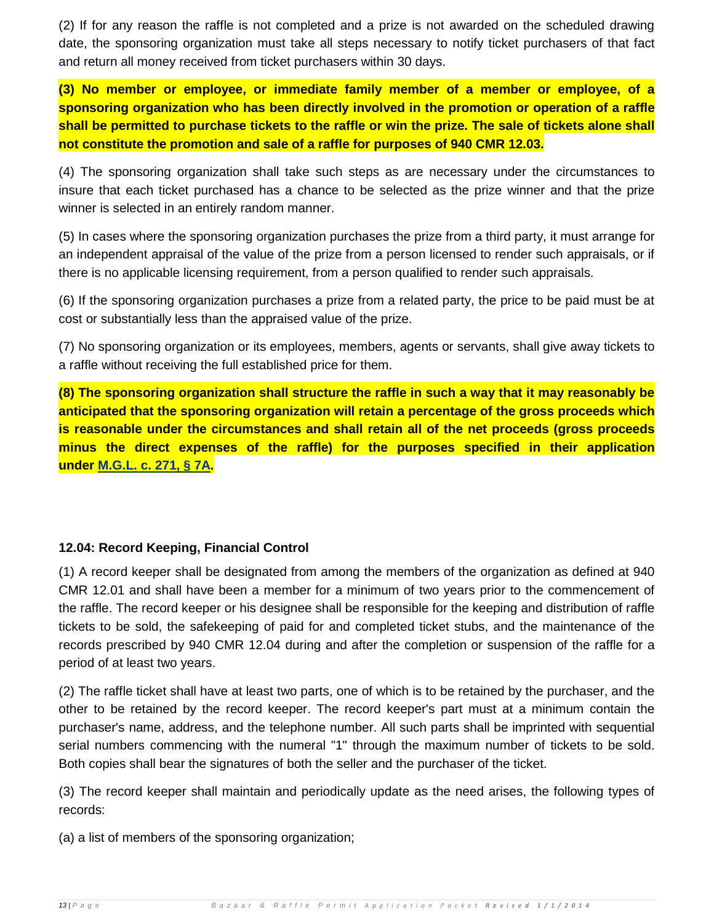(2) If for any reason the raffle is not completed and a prize is not awarded on the scheduled drawing date, the sponsoring organization must take all steps necessary to notify ticket purchasers of that fact and return all money received from ticket purchasers within 30 days.

**(3) No member or employee, or immediate family member of a member or employee, of a sponsoring organization who has been directly involved in the promotion or operation of a raffle shall be permitted to purchase tickets to the raffle or win the prize. The sale of tickets alone shall not constitute the promotion and sale of a raffle for purposes of 940 CMR 12.03.**

(4) The sponsoring organization shall take such steps as are necessary under the circumstances to insure that each ticket purchased has a chance to be selected as the prize winner and that the prize winner is selected in an entirely random manner.

(5) In cases where the sponsoring organization purchases the prize from a third party, it must arrange for an independent appraisal of the value of the prize from a person licensed to render such appraisals, or if there is no applicable licensing requirement, from a person qualified to render such appraisals.

(6) If the sponsoring organization purchases a prize from a related party, the price to be paid must be at cost or substantially less than the appraised value of the prize.

(7) No sponsoring organization or its employees, members, agents or servants, shall give away tickets to a raffle without receiving the full established price for them.

**(8) The sponsoring organization shall structure the raffle in such a way that it may reasonably be anticipated that the sponsoring organization will retain a percentage of the gross proceeds which is reasonable under the circumstances and shall retain all of the net proceeds (gross proceeds minus the direct expenses of the raffle) for the purposes specified in their application under [M.G.L. c. 271, § 7A.](http://www.mass.gov/legis/laws/mgl/271-7a.htm)**

# **12.04: Record Keeping, Financial Control**

(1) A record keeper shall be designated from among the members of the organization as defined at 940 CMR 12.01 and shall have been a member for a minimum of two years prior to the commencement of the raffle. The record keeper or his designee shall be responsible for the keeping and distribution of raffle tickets to be sold, the safekeeping of paid for and completed ticket stubs, and the maintenance of the records prescribed by 940 CMR 12.04 during and after the completion or suspension of the raffle for a period of at least two years.

(2) The raffle ticket shall have at least two parts, one of which is to be retained by the purchaser, and the other to be retained by the record keeper. The record keeper's part must at a minimum contain the purchaser's name, address, and the telephone number. All such parts shall be imprinted with sequential serial numbers commencing with the numeral "1" through the maximum number of tickets to be sold. Both copies shall bear the signatures of both the seller and the purchaser of the ticket.

(3) The record keeper shall maintain and periodically update as the need arises, the following types of records:

(a) a list of members of the sponsoring organization;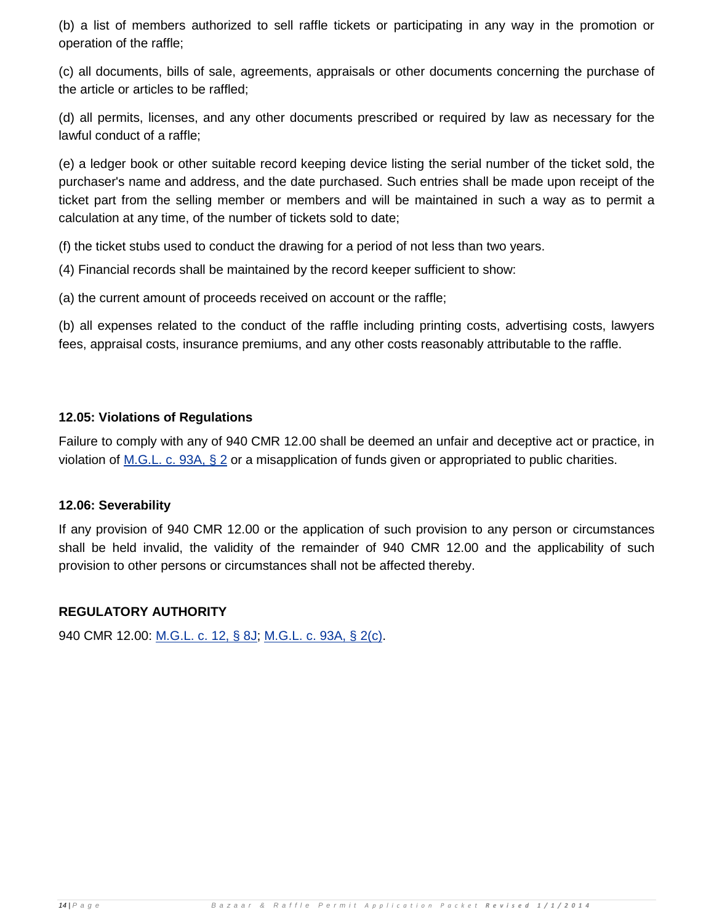(b) a list of members authorized to sell raffle tickets or participating in any way in the promotion or operation of the raffle;

(c) all documents, bills of sale, agreements, appraisals or other documents concerning the purchase of the article or articles to be raffled;

(d) all permits, licenses, and any other documents prescribed or required by law as necessary for the lawful conduct of a raffle;

(e) a ledger book or other suitable record keeping device listing the serial number of the ticket sold, the purchaser's name and address, and the date purchased. Such entries shall be made upon receipt of the ticket part from the selling member or members and will be maintained in such a way as to permit a calculation at any time, of the number of tickets sold to date;

(f) the ticket stubs used to conduct the drawing for a period of not less than two years.

(4) Financial records shall be maintained by the record keeper sufficient to show:

(a) the current amount of proceeds received on account or the raffle;

(b) all expenses related to the conduct of the raffle including printing costs, advertising costs, lawyers fees, appraisal costs, insurance premiums, and any other costs reasonably attributable to the raffle.

### **12.05: Violations of Regulations**

Failure to comply with any of 940 CMR 12.00 shall be deemed an unfair and deceptive act or practice, in violation of [M.G.L. c. 93A, § 2](http://www.mass.gov/legis/laws/mgl/93a-2.htm) or a misapplication of funds given or appropriated to public charities.

#### **12.06: Severability**

If any provision of 940 CMR 12.00 or the application of such provision to any person or circumstances shall be held invalid, the validity of the remainder of 940 CMR 12.00 and the applicability of such provision to other persons or circumstances shall not be affected thereby.

# **REGULATORY AUTHORITY**

940 CMR 12.00: [M.G.L. c. 12, § 8J;](http://www.mass.gov/legis/laws/mgl/12-8j.htm) [M.G.L. c. 93A, § 2\(c\).](http://www.mass.gov/legis/laws/mgl/93a-2.htm)